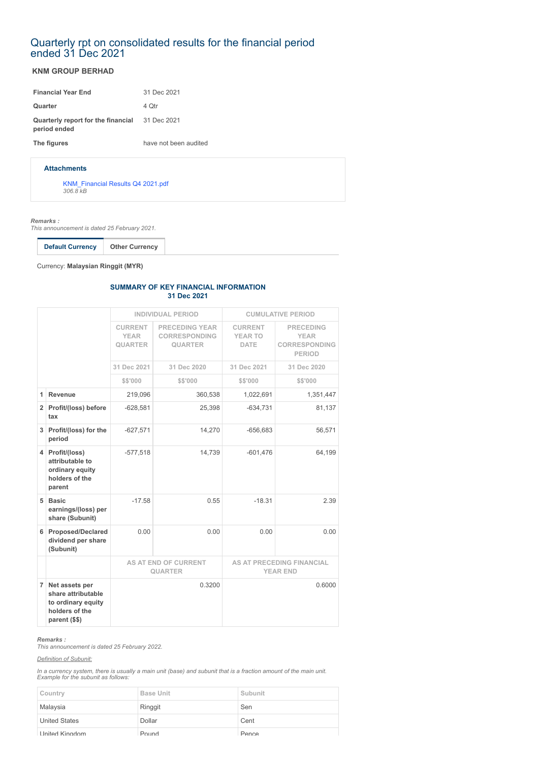# Quarterly rpt on consolidated results for the financial period ended 31 Dec 2021

## **KNM GROUP BERHAD**

| <b>Financial Year End</b>                          | 31 Dec 2021           |
|----------------------------------------------------|-----------------------|
| Quarter                                            | 4 Qtr                 |
| Quarterly report for the financial<br>period ended | 31 Dec 2021           |
| The figures                                        | have not been audited |
|                                                    |                       |

### **Attachments**

[KNM\\_Financial Results Q4 2021.pdf](https://disclosure.bursamalaysia.com/FileAccess/apbursaweb/download?id=217927&name=EA_FR_ATTACHMENTS) *306.8 kB*

*Remarks :*

*This announcement is dated 25 February 2021.*

**Default Currency Other Currency**

Currency: **Malaysian Ringgit (MYR)**

#### **SUMMARY OF KEY FINANCIAL INFORMATION 31 Dec 2021**

|                |                                                                                               | <b>INDIVIDUAL PERIOD</b>                        |                                                                 | <b>CUMULATIVE PERIOD</b>                            |                                                                          |
|----------------|-----------------------------------------------------------------------------------------------|-------------------------------------------------|-----------------------------------------------------------------|-----------------------------------------------------|--------------------------------------------------------------------------|
|                |                                                                                               | <b>CURRENT</b><br><b>YEAR</b><br><b>QUARTER</b> | <b>PRECEDING YEAR</b><br><b>CORRESPONDING</b><br><b>QUARTER</b> | <b>CURRENT</b><br><b>YEAR TO</b><br><b>DATE</b>     | <b>PRECEDING</b><br><b>YEAR</b><br><b>CORRESPONDING</b><br><b>PERIOD</b> |
|                |                                                                                               | 31 Dec 2021                                     | 31 Dec 2020                                                     | 31 Dec 2021                                         | 31 Dec 2020                                                              |
|                |                                                                                               | \$\$'000                                        | \$\$'000                                                        | \$\$'000                                            | \$\$'000                                                                 |
| 1              | Revenue                                                                                       | 219,096                                         | 360,538                                                         | 1,022,691                                           | 1,351,447                                                                |
|                | 2 Profit/(loss) before<br>tax                                                                 | $-628,581$                                      | 25,398                                                          | $-634,731$                                          | 81,137                                                                   |
|                | 3 Profit/(loss) for the<br>period                                                             | $-627,571$                                      | 14,270                                                          | $-656,683$                                          | 56,571                                                                   |
|                | 4 Profit/(loss)<br>attributable to<br>ordinary equity<br>holders of the<br>parent             | $-577,518$                                      | 14,739                                                          | $-601,476$                                          | 64,199                                                                   |
| 5              | <b>Basic</b><br>earnings/(loss) per<br>share (Subunit)                                        | $-17.58$                                        | 0.55                                                            | $-18.31$                                            | 2.39                                                                     |
|                | 6 Proposed/Declared<br>dividend per share<br>(Subunit)                                        | 0.00                                            | 0.00                                                            | 0.00                                                | 0.00                                                                     |
|                |                                                                                               | AS AT END OF CURRENT<br><b>QUARTER</b>          |                                                                 | <b>AS AT PRECEDING FINANCIAL</b><br><b>YEAR END</b> |                                                                          |
| $\overline{7}$ | Net assets per<br>share attributable<br>to ordinary equity<br>holders of the<br>parent (\$\$) | 0.3200                                          |                                                                 |                                                     | 0.6000                                                                   |

#### *Remarks :*

*This announcement is dated 25 February 2022.*

### *Definition of Subunit:*

*In a currency system, there is usually a main unit (base) and subunit that is a fraction amount of the main unit. Example for the subunit as follows:*

| Country               | <b>Base Unit</b> | Subunit |
|-----------------------|------------------|---------|
| Malaysia              | Ringgit          | Sen     |
| <b>United States</b>  | Dollar           | Cent    |
| <b>United Kingdom</b> | Pound            | Pence   |